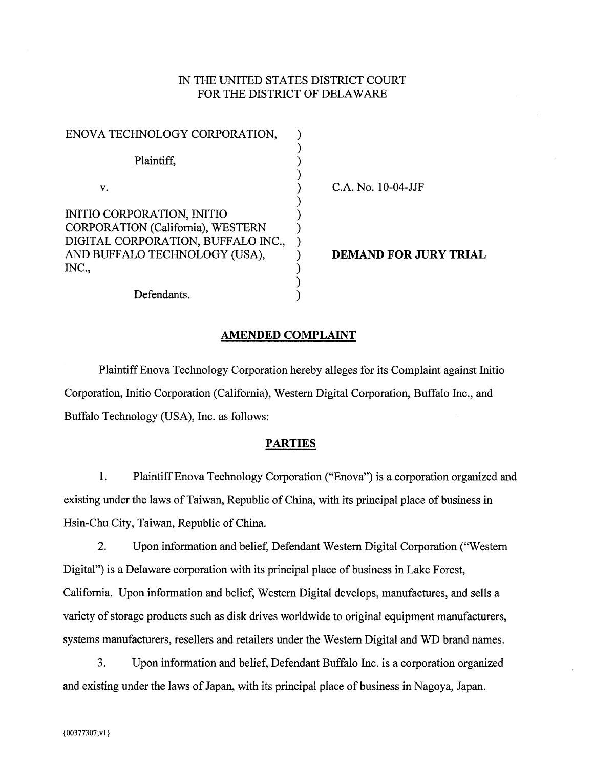### IN THE UNITED STATES DISTRICT COURT FOR THE DISTRICT OF DELAWARE

| ENOVA TECHNOLOGY CORPORATION,      |  |
|------------------------------------|--|
|                                    |  |
| Plaintiff,                         |  |
|                                    |  |
| v.                                 |  |
|                                    |  |
| INITIO CORPORATION, INITIO         |  |
| CORPORATION (California), WESTERN  |  |
| DIGITAL CORPORATION, BUFFALO INC., |  |
| AND BUFFALO TECHNOLOGY (USA),      |  |
| INC.,                              |  |
|                                    |  |
| Defendants.                        |  |

C.A. No. 10-04-JJF

**DEMAND FOR JURY TRIAL** 

### **AMENDED COMPLAINT**

Plaintiff Enova Technology Corporation hereby alleges for its Complaint against Initio Corporation, Initio Corporation (California), Western Digital Corporation, Buffalo Inc., and Buffalo Technology (USA), Inc. as follows:

### **PARTIES**

1. Plaintiff Enova Technology Corporation ("Enova") is a corporation organized and existing under the laws of Taiwan, Republic of China, with its principal place of business in Hsin-Chu City, Taiwan, Republic of China.

 $2.$ Upon information and belief, Defendant Western Digital Corporation ("Western Digital") is a Delaware corporation with its principal place of business in Lake Forest, California. Upon information and belief, Western Digital develops, manufactures, and sells a variety of storage products such as disk drives worldwide to original equipment manufacturers, systems manufacturers, resellers and retailers under the Western Digital and WD brand names.

3. Upon information and belief, Defendant Buffalo Inc. is a corporation organized and existing under the laws of Japan, with its principal place of business in Nagoya, Japan.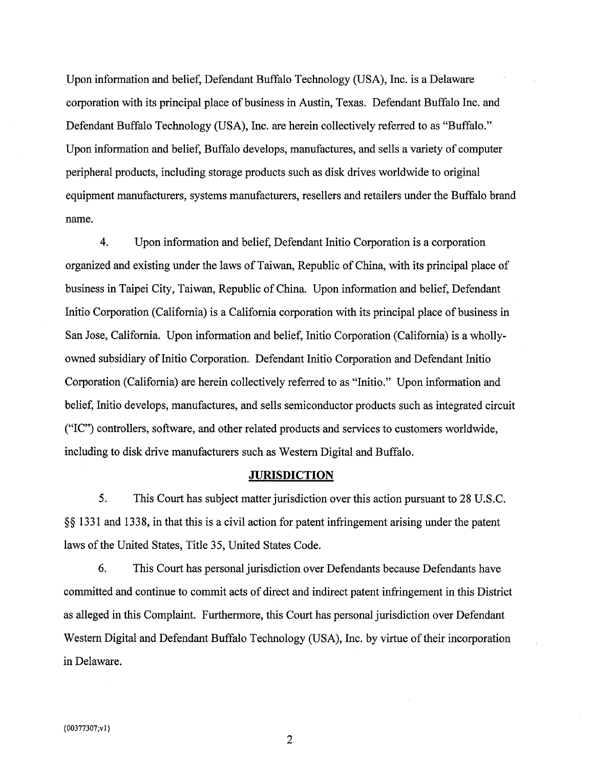Upon information and belief, Defendant Buffalo Technology (USA), Inc. is a Delaware corporation with its principal place of business in Austin, Texas. Defendant Buffalo Inc. and Defendant Buffalo Technology (USA), Inc. are herein collectively referred to as "Buffalo." Upon information and belief, Buffalo develops, manufactures, and sells a variety of computer peripheral products, including storage products such as disk drives worldwide to original equipment manufacturers, systems manufacturers, resellers and retailers under the Buffalo brand name.

 $4.$ Upon information and belief, Defendant Initio Corporation is a corporation organized and existing under the laws of Taiwan, Republic of China, with its principal place of business in Taipei City, Taiwan, Republic of China. Upon information and belief, Defendant Initio Corporation (California) is a California corporation with its principal place of business in San Jose, California. Upon information and belief, Initio Corporation (California) is a whollyowned subsidiary of Initio Corporation. Defendant Initio Corporation and Defendant Initio Corporation (California) are herein collectively referred to as "Initio." Upon information and belief, Initio develops, manufactures, and sells semiconductor products such as integrated circuit ("IC") controllers, software, and other related products and services to customers worldwide, including to disk drive manufacturers such as Western Digital and Buffalo.

### **JURISDICTION**

5. This Court has subject matter jurisdiction over this action pursuant to 28 U.S.C. §§ 1331 and 1338, in that this is a civil action for patent infringement arising under the patent laws of the United States, Title 35, United States Code.

6. This Court has personal jurisdiction over Defendants because Defendants have committed and continue to commit acts of direct and indirect patent infringement in this District as alleged in this Complaint. Furthermore, this Court has personal jurisdiction over Defendant Western Digital and Defendant Buffalo Technology (USA), Inc. by virtue of their incorporation in Delaware.

 $\overline{2}$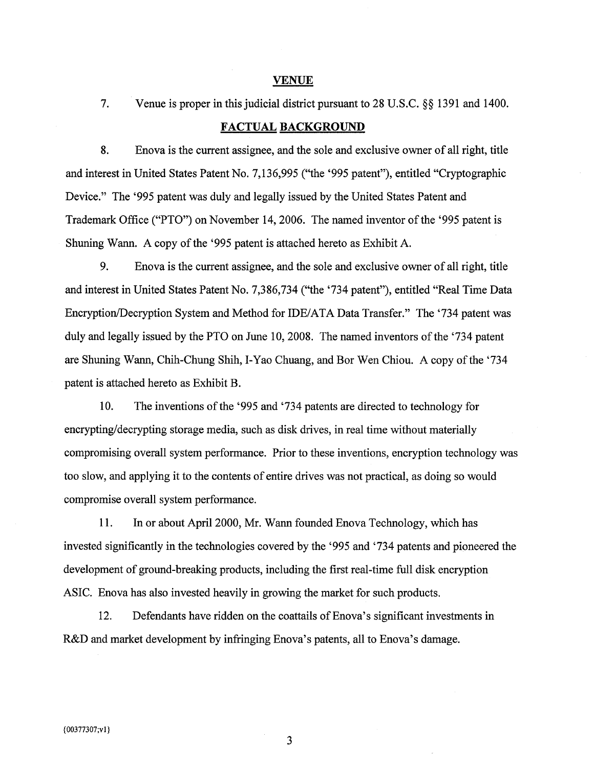#### **VENUE**

Venue is proper in this judicial district pursuant to 28 U.S.C. §§ 1391 and 1400. 7.

### **FACTUAL BACKGROUND**

8. Enova is the current assignee, and the sole and exclusive owner of all right, title and interest in United States Patent No. 7,136,995 ("the '995 patent"), entitled "Cryptographic Device." The '995 patent was duly and legally issued by the United States Patent and Trademark Office ("PTO") on November 14, 2006. The named inventor of the '995 patent is Shuning Wann. A copy of the '995 patent is attached hereto as Exhibit A.

9. Enova is the current assignee, and the sole and exclusive owner of all right, title and interest in United States Patent No. 7,386,734 ("the '734 patent"), entitled "Real Time Data Encryption/Decryption System and Method for IDE/ATA Data Transfer." The '734 patent was duly and legally issued by the PTO on June 10, 2008. The named inventors of the '734 patent are Shuning Wann, Chih-Chung Shih, I-Yao Chuang, and Bor Wen Chiou. A copy of the '734 patent is attached hereto as Exhibit B.

10. The inventions of the '995 and '734 patents are directed to technology for encrypting/decrypting storage media, such as disk drives, in real time without materially compromising overall system performance. Prior to these inventions, encryption technology was too slow, and applying it to the contents of entire drives was not practical, as doing so would compromise overall system performance.

11. In or about April 2000, Mr. Wann founded Enova Technology, which has invested significantly in the technologies covered by the '995 and '734 patents and pioneered the development of ground-breaking products, including the first real-time full disk encryption ASIC. Enova has also invested heavily in growing the market for such products.

12. Defendants have ridden on the coattails of Enova's significant investments in R&D and market development by infringing Enova's patents, all to Enova's damage.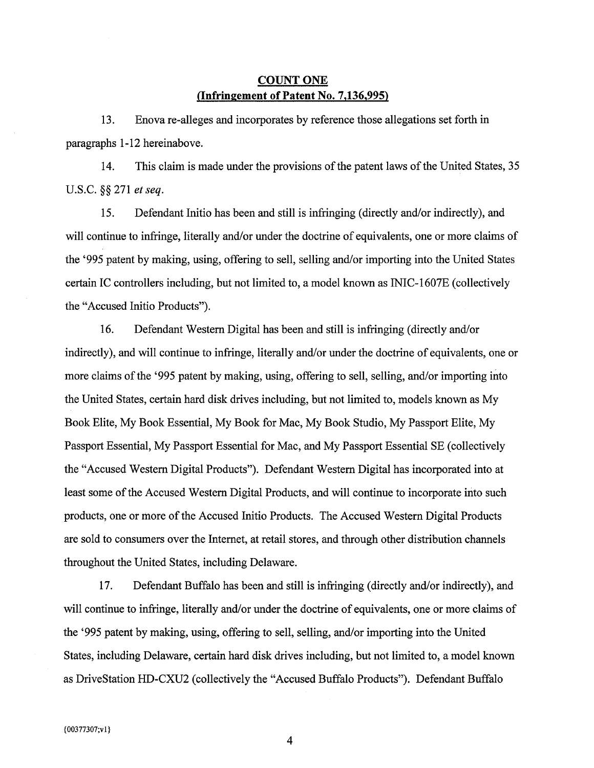## **COUNT ONE** (Infringement of Patent No. 7,136,995)

13. Enova re-alleges and incorporates by reference those allegations set forth in paragraphs 1-12 hereinabove.

14. This claim is made under the provisions of the patent laws of the United States, 35 U.S.C. §§ 271 et seq.

15. Defendant Initio has been and still is infringing (directly and/or indirectly), and will continue to infringe, literally and/or under the doctrine of equivalents, one or more claims of the '995 patent by making, using, offering to sell, selling and/or importing into the United States certain IC controllers including, but not limited to, a model known as INIC-1607E (collectively the "Accused Initio Products").

16. Defendant Western Digital has been and still is infringing (directly and/or indirectly), and will continue to infringe, literally and/or under the doctrine of equivalents, one or more claims of the '995 patent by making, using, offering to sell, selling, and/or importing into the United States, certain hard disk drives including, but not limited to, models known as My Book Elite, My Book Essential, My Book for Mac, My Book Studio, My Passport Elite, My Passport Essential, My Passport Essential for Mac, and My Passport Essential SE (collectively the "Accused Western Digital Products"). Defendant Western Digital has incorporated into at least some of the Accused Western Digital Products, and will continue to incorporate into such products, one or more of the Accused Initio Products. The Accused Western Digital Products are sold to consumers over the Internet, at retail stores, and through other distribution channels throughout the United States, including Delaware.

17. Defendant Buffalo has been and still is infringing (directly and/or indirectly), and will continue to infringe, literally and/or under the doctrine of equivalents, one or more claims of the '995 patent by making, using, offering to sell, selling, and/or importing into the United States, including Delaware, certain hard disk drives including, but not limited to, a model known as DriveStation HD-CXU2 (collectively the "Accused Buffalo Products"). Defendant Buffalo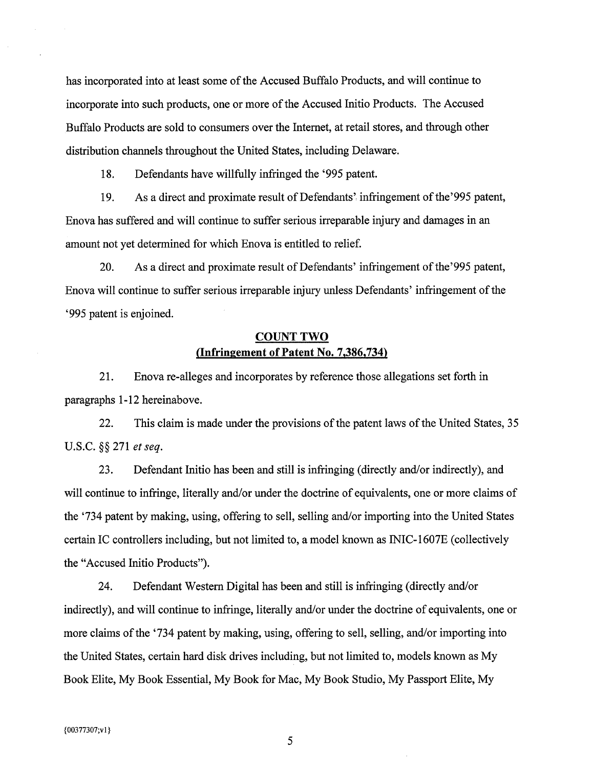has incorporated into at least some of the Accused Buffalo Products, and will continue to incorporate into such products, one or more of the Accused Initio Products. The Accused Buffalo Products are sold to consumers over the Internet, at retail stores, and through other distribution channels throughout the United States, including Delaware.

18. Defendants have willfully infringed the '995 patent.

As a direct and proximate result of Defendants' infringement of the '995 patent, 19. Enova has suffered and will continue to suffer serious irreparable injury and damages in an amount not yet determined for which Enova is entitled to relief.

20. As a direct and proximate result of Defendants' infringement of the '995 patent, Enova will continue to suffer serious irreparable injury unless Defendants' infringement of the '995 patent is enjoined.

## **COUNT TWO** (Infringement of Patent No. 7,386,734)

21. Enova re-alleges and incorporates by reference those allegations set forth in paragraphs 1-12 hereinabove.

22. This claim is made under the provisions of the patent laws of the United States, 35 U.S.C. §§ 271 et seq.

23. Defendant Initio has been and still is infringing (directly and/or indirectly), and will continue to infringe, literally and/or under the doctrine of equivalents, one or more claims of the '734 patent by making, using, offering to sell, selling and/or importing into the United States certain IC controllers including, but not limited to, a model known as INIC-1607E (collectively the "Accused Initio Products").

24. Defendant Western Digital has been and still is infringing (directly and/or indirectly), and will continue to infringe, literally and/or under the doctrine of equivalents, one or more claims of the '734 patent by making, using, offering to sell, selling, and/or importing into the United States, certain hard disk drives including, but not limited to, models known as My Book Elite, My Book Essential, My Book for Mac, My Book Studio, My Passport Elite, My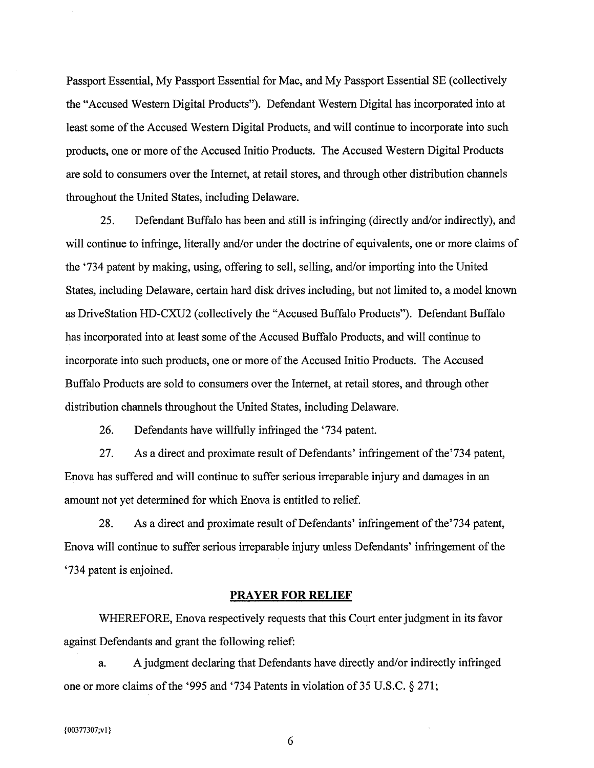Passport Essential, My Passport Essential for Mac, and My Passport Essential SE (collectively the "Accused Western Digital Products"). Defendant Western Digital has incorporated into at least some of the Accused Western Digital Products, and will continue to incorporate into such products, one or more of the Accused Initio Products. The Accused Western Digital Products are sold to consumers over the Internet, at retail stores, and through other distribution channels throughout the United States, including Delaware.

25. Defendant Buffalo has been and still is infringing (directly and/or indirectly), and will continue to infringe, literally and/or under the doctrine of equivalents, one or more claims of the '734 patent by making, using, offering to sell, selling, and/or importing into the United States, including Delaware, certain hard disk drives including, but not limited to, a model known as DriveStation HD-CXU2 (collectively the "Accused Buffalo Products"). Defendant Buffalo has incorporated into at least some of the Accused Buffalo Products, and will continue to incorporate into such products, one or more of the Accused Initio Products. The Accused Buffalo Products are sold to consumers over the Internet, at retail stores, and through other distribution channels throughout the United States, including Delaware.

26. Defendants have willfully infringed the '734 patent.

27. As a direct and proximate result of Defendants' infringement of the '734 patent, Enova has suffered and will continue to suffer serious irreparable injury and damages in an amount not yet determined for which Enova is entitled to relief.

28. As a direct and proximate result of Defendants' infringement of the '734 patent, Enova will continue to suffer serious irreparable injury unless Defendants' infringement of the '734 patent is enjoined.

#### **PRAYER FOR RELIEF**

WHEREFORE, Enova respectively requests that this Court enter judgment in its favor against Defendants and grant the following relief:

A judgment declaring that Defendants have directly and/or indirectly infringed a. one or more claims of the '995 and '734 Patents in violation of 35 U.S.C. § 271;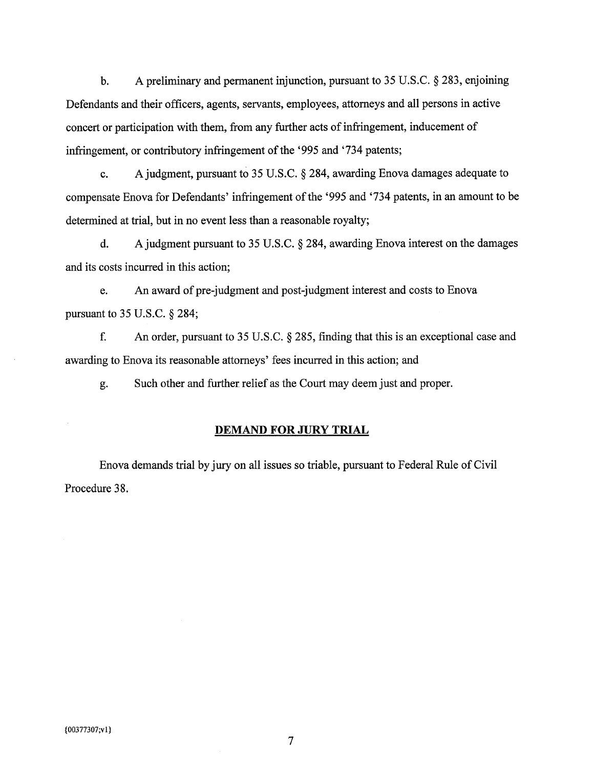$\mathbf{b}$ . A preliminary and permanent injunction, pursuant to  $35$  U.S.C.  $\S$  283, enjoining Defendants and their officers, agents, servants, employees, attorneys and all persons in active concert or participation with them, from any further acts of infringement, inducement of infringement, or contributory infringement of the '995 and '734 patents;

A judgment, pursuant to 35 U.S.C. § 284, awarding Enova damages adequate to  $c_{\cdot}$ compensate Enova for Defendants' infringement of the '995 and '734 patents, in an amount to be determined at trial, but in no event less than a reasonable royalty;

A judgment pursuant to 35 U.S.C. § 284, awarding Enova interest on the damages  $\mathbf{d}$ . and its costs incurred in this action;

An award of pre-judgment and post-judgment interest and costs to Enova e. pursuant to 35 U.S.C. § 284;

f. An order, pursuant to 35 U.S.C. § 285, finding that this is an exceptional case and awarding to Enova its reasonable attorneys' fees incurred in this action; and

Such other and further relief as the Court may deem just and proper. g.

#### **DEMAND FOR JURY TRIAL**

Enova demands trial by jury on all issues so triable, pursuant to Federal Rule of Civil Procedure 38.

 $\tau$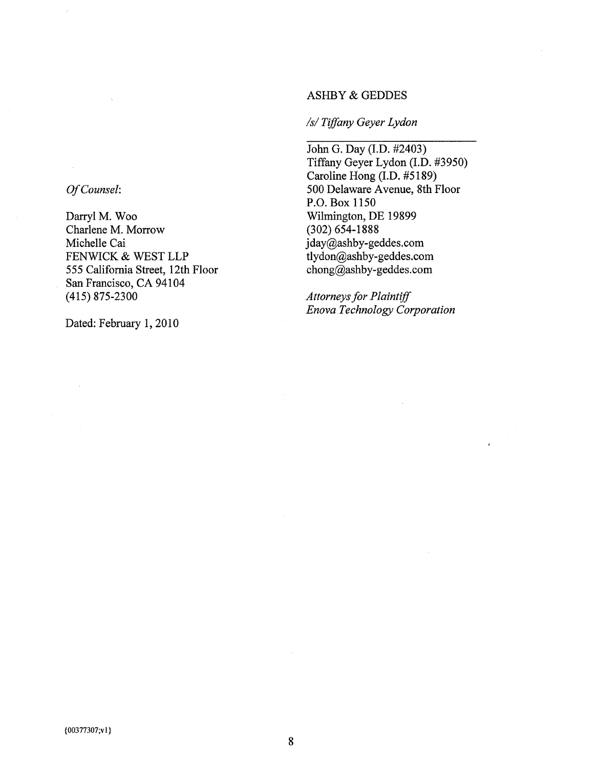#### **ASHBY & GEDDES**

## /s/Tiffany Geyer Lydon

John G. Day (I.D. #2403) Tiffany Geyer Lydon (I.D. #3950) Caroline Hong (I.D. #5189) 500 Delaware Avenue, 8th Floor P.O. Box 1150 Wilmington, DE 19899  $(302) 654 - 1888$ jday@ashby-geddes.com tlydon@ashby-geddes.com chong@ashby-geddes.com

**Attorneys for Plaintiff** Enova Technology Corporation

Of Counsel:

Darryl M. Woo Charlene M. Morrow Michelle Cai FENWICK & WEST LLP 555 California Street, 12th Floor San Francisco, CA 94104  $(415)$  875-2300

Dated: February 1, 2010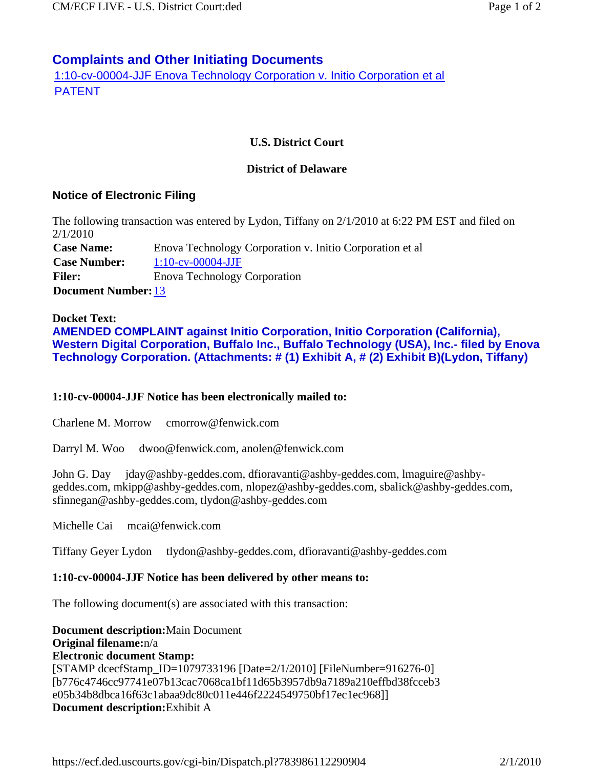# **Complaints and Other Initiating Documents**

1:10-cv-00004-JJF Enova Technology Corporation v. Initio Corporation et al PATENT

## **U.S. District Court**

### **District of Delaware**

## **Notice of Electronic Filing**

The following transaction was entered by Lydon, Tiffany on 2/1/2010 at 6:22 PM EST and filed on 2/1/2010 **Case Name:** Enova Technology Corporation v. Initio Corporation et al **Case Number:** 1:10-cv-00004-JJF Filer: Enova Technology Corporation **Document Number:**13

### **Docket Text:**

**AMENDED COMPLAINT against Initio Corporation, Initio Corporation (California), Western Digital Corporation, Buffalo Inc., Buffalo Technology (USA), Inc.- filed by Enova Technology Corporation. (Attachments: # (1) Exhibit A, # (2) Exhibit B)(Lydon, Tiffany)** 

### **1:10-cv-00004-JJF Notice has been electronically mailed to:**

Charlene M. Morrow cmorrow@fenwick.com

Darryl M. Woo dwoo@fenwick.com, anolen@fenwick.com

John G. Day jday@ashby-geddes.com, dfioravanti@ashby-geddes.com, lmaguire@ashbygeddes.com, mkipp@ashby-geddes.com, nlopez@ashby-geddes.com, sbalick@ashby-geddes.com, sfinnegan@ashby-geddes.com, tlydon@ashby-geddes.com

Michelle Cai mcai@fenwick.com

Tiffany Geyer Lydon tlydon@ashby-geddes.com, dfioravanti@ashby-geddes.com

### **1:10-cv-00004-JJF Notice has been delivered by other means to:**

The following document(s) are associated with this transaction:

**Document description:**Main Document **Original filename:**n/a **Electronic document Stamp:** [STAMP dcecfStamp\_ID=1079733196 [Date=2/1/2010] [FileNumber=916276-0] [b776c4746cc97741e07b13cac7068ca1bf11d65b3957db9a7189a210effbd38fcceb3 e05b34b8dbca16f63c1abaa9dc80c011e446f2224549750bf17ec1ec968]] **Document description:**Exhibit A